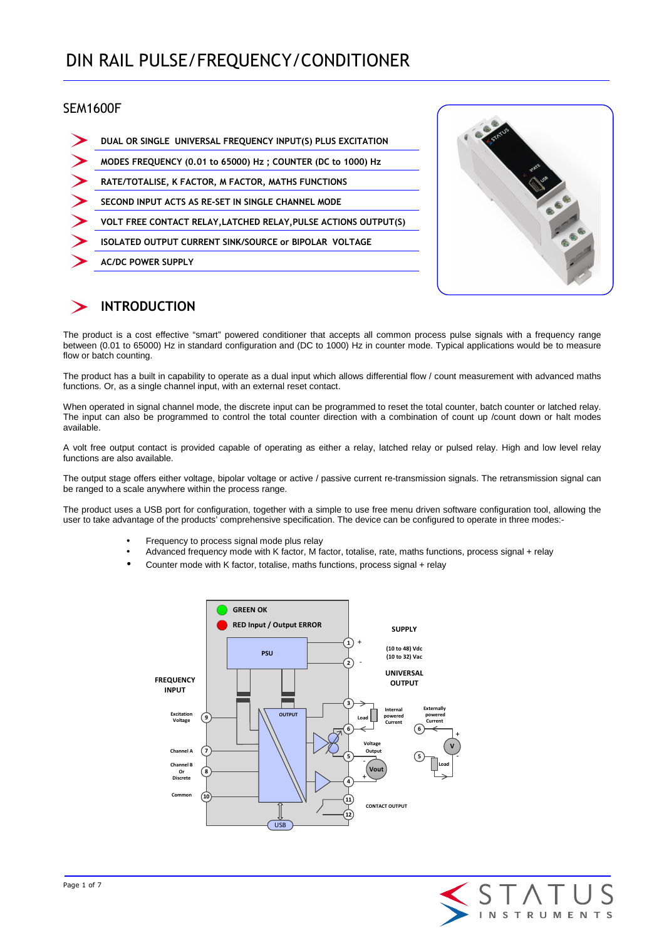### SEM1600F

| DUAL OR SINGLE UNIVERSAL FREQUENCY INPUT(S) PLUS EXCITATION     |
|-----------------------------------------------------------------|
| MODES FREQUENCY (0.01 to 65000) Hz; COUNTER (DC to 1000) Hz     |
| RATE/TOTALISE, K FACTOR, M FACTOR, MATHS FUNCTIONS              |
| SECOND INPUT ACTS AS RE-SET IN SINGLE CHANNEL MODE              |
| VOLT FREE CONTACT RELAY, LATCHED RELAY, PULSE ACTIONS OUTPUT(S) |
| ISOLATED OUTPUT CURRENT SINK/SOURCE or BIPOLAR VOLTAGE          |
| <b>AC/DC POWER SUPPLY</b>                                       |
|                                                                 |



## **INTRODUCTION**

The product is a cost effective "smart" powered conditioner that accepts all common process pulse signals with a frequency range between (0.01 to 65000) Hz in standard configuration and (DC to 1000) Hz in counter mode. Typical applications would be to measure flow or batch counting.

The product has a built in capability to operate as a dual input which allows differential flow / count measurement with advanced maths functions. Or, as a single channel input, with an external reset contact.

When operated in signal channel mode, the discrete input can be programmed to reset the total counter, batch counter or latched relay. The input can also be programmed to control the total counter direction with a combination of count up /count down or halt modes available.

A volt free output contact is provided capable of operating as either a relay, latched relay or pulsed relay. High and low level relay functions are also available.

The output stage offers either voltage, bipolar voltage or active / passive current re-transmission signals. The retransmission signal can be ranged to a scale anywhere within the process range.

The product uses a USB port for configuration, together with a simple to use free menu driven software configuration tool, allowing the user to take advantage of the products' comprehensive specification. The device can be configured to operate in three modes:-

- Frequency to process signal mode plus relay
- Advanced frequency mode with K factor, M factor, totalise, rate, maths functions, process signal + relay
- Counter mode with K factor, totalise, maths functions, process signal + relay



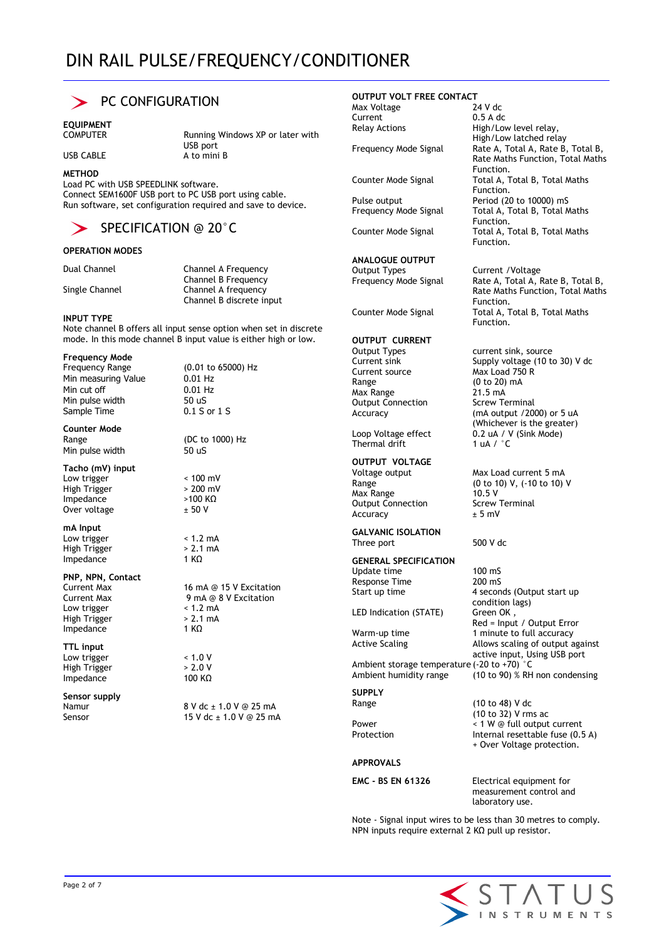

### PC CONFIGURATION

**EQUIPMENT** 

Running Windows XP or later with USB port  $USR CARI F$   $A \trightarrow$  To mini B

#### **METHOD**

Load PC with USB SPEEDLINK software. Connect SEM1600F USB port to PC USB port using cable. Run software, set configuration required and save to device.

### SPECIFICATION @ 20°C

### **OPERATION MODES**

Dual Channel Channel A Frequency Channel B Frequency<br>Channel Channel Channel A frequency Channel A frequency Channel B discrete input

#### **INPUT TYPE**

Note channel B offers all input sense option when set in discrete mode. In this mode channel B input value is either high or low.

## **Frequency Mode**

Min measuring Value 0.01 Hz<br>Min cut off 0.01 Hz Min  $cut$  off Min pulse width 50 uS<br>Sample Time 60.1 S or 1 S Sample Time

### **Counter Mode**

Min pulse width 50 uS

**Tacho (mV) input**  Low trigger < 100 mV High Trigger  $\geq 200 \text{ mV}$ <br>Impedance  $\geq 100 \text{ KO}$ Impedance >100 K<br>Over voltage + 50 V Over voltage

**mA Input**  Low trigger  $\times 1.2 \text{ mA}$ <br>High Trigger  $\times 2.1 \text{ mA}$  $High Trigger$  > 2.1<br>Impedance  $1 KQ$ Impedance

#### **PNP, NPN, Contact**

Low trigger  $\times 1.2 \text{ mA}$ <br>High Trigger  $> 2.1 \text{ mA}$ High Trigger  $> 2.1$ <br>Impedance  $\sqrt{1 + \text{KQ}}$ Impedance

**TTL input** Low trigger  $\times 1.0 \text{ V}$ <br>High Trigger  $> 2.0 \text{ V}$ High Trigger  $\geq 2.0 \text{ V}$ <br>Impedance  $\leq 100 \text{ KO}$ Impedance

**Sensor supply** 

Range (DC to 1000) Hz

(0.01 to 65000) Hz

Current Max 16 mA @ 15 V Excitation<br>Current Max 9 mA @ 8 V Excitation 9 mA  $@ 8 V$  Excitation<br>< 1.2 mA

 $N$ amur  $\frac{1}{2}$  and  $\frac{1}{2}$  and  $\frac{1}{2}$  and  $\frac{1}{2}$  and  $\frac{1}{2}$  and  $\frac{1}{2}$  and  $\frac{1}{2}$  and  $\frac{1}{2}$  and  $\frac{1}{2}$  and  $\frac{1}{2}$  and  $\frac{1}{2}$  and  $\frac{1}{2}$  and  $\frac{1}{2}$  and  $\frac{1}{2}$  and  $\frac{1}{2}$  and  $\frac$ Sensor 15 V dc ± 1.0 V @ 25 mA

# **OUTPUT VOLT FREE CONTACT**<br>Max Voltage **14 V** dc

High/Low level relay,

Function.

Function.

Function.

Function.

Function.

Function.

(0 to 20) mA<br>21.5 mA

Rate A, Total A, Rate B, Total B. Rate Maths Function, Total Maths

Total A, Total B, Total Maths

Frequency Modes Signal Rate B, Total B, Rate Maths Function, Total Maths

Supply voltage (10 to 30) V dc

 $(mA$  output  $(2000)$  or 5 uA (Whichever is the greater)

(0 to 10) V, (-10 to 10) V<br>10.5 V

4 seconds (Output start up

Red = Input / Output Error

condition lags)

 $(10$  to 48) V dc (10 to 32) V rms ac

Max Voltage<br>Current Current 6.5 A dc<br>Relay Actions 6.5 A dc

High/Low latched relay<br>Frequency Mode Signal Rate A, Total A, Rate B.

Counter Mode Signal Total A, Total B, Total Maths

Pulse output **Period (20 to 10000) mS**<br>Frequency Mode Signal Total A, Total B, Total M

Counter Mode Signal Total A, Total B, Total Maths

### **ANALOGUE OUTPUT**

Output Types<br>
Frequency Mode Signal Rate A, Total A, I

Counter Mode Signal Total A, Total B, Total Maths

# **OUTPUT CURRENT**<br>Output Types

Output Types<br>
Current sink<br>
Current sink<br>
Cupply voltage (10 to Current source Max Load 750 R<br>Range (0 to 20) mA Max Range **21.5 mA**<br>Output Connection **21.5 mA** Output Connection<br>Accuracy

Loop Voltage effect **1.2 uA / V** (Sink Mode)<br>Thermal drift 1 uA / °C Thermal drift

**OUTPUT VOLTAGE**<br>Voltage output Voltage output Max Load current 5 mA<br>Range (0 to 10) V, (-10 to 10) Max Range Output Connection Screw Terminal<br>Accuracy density to 5 mV Accuracy

#### **GALVANIC ISOLATION**  Three port 500 V dc

#### **GENERAL SPECIFICATION**  Update time 100 mS

Response Time 200 mS<br>
Start up time 4 secon

LED Indication (STATE) Green OK,

Warm-up time 1 minute to full accuracy Active Scaling **Allows** scaling of output against

active input, Using USB port Ambient storage temperature (-20 to +70)<sup>6</sup>C<br>Ambient humidity range (10 to 90) % RH  $(10 \text{ to } 90)$  % RH non condensing

**SUPPLY** 

Power extending the set of the set of the power of the power of the set of the power of the power of the power<br>Protection and the internal resettable fuse (0.5)

#### **APPROVALS**

**EMC - BS EN 61326** Electrical equipment for measurement control and laboratory use.

Internal resettable fuse  $(0.5 A)$ + Over Voltage protection.

Note - Signal input wires to be less than 30 metres to comply. NPN inputs require external 2 KΩ pull up resistor.

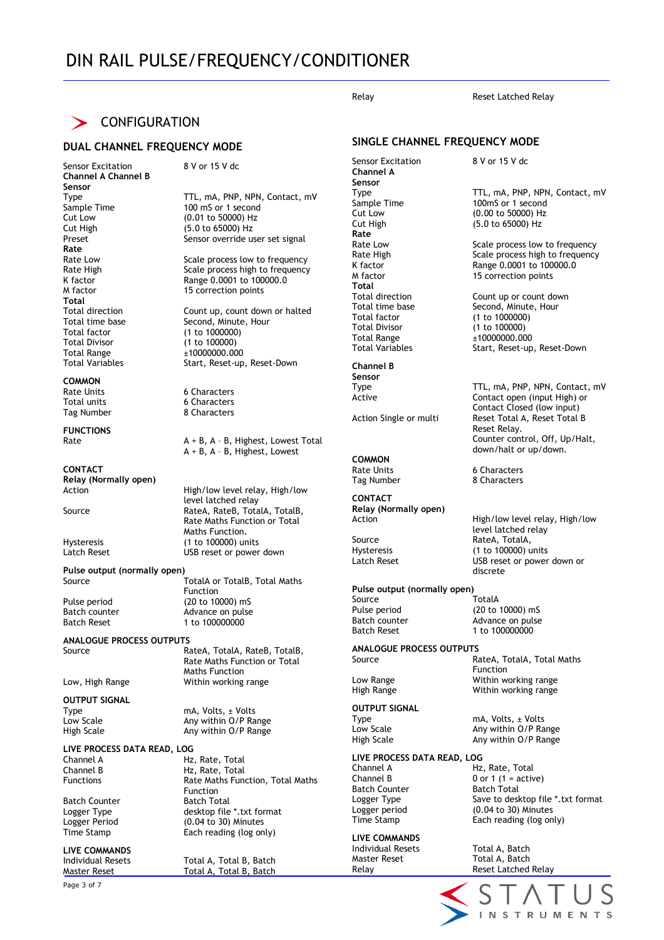

### **DUAL CHANNEL FREQUENCY MODE**

Sensor Excitation 8 V or 15 V dc **Channel A Channel B Sensor**  Cut High (5.0 to 65000) Hz<br>Preset (5.0 to 65000) Hz **Rate Total**  Total factor (1 to 1000000)<br>Total Divisor (1 to 100000) Total Divisor<br>Total Range  $(1 \text{ to } 100000)$ <br>+10000000 00 Total Range  $\pm 10000000.000$ <br>Total Variables Start, Reset-up

#### **COMMON**

Tag Number

**FUNCTIONS**

**CONTACT Relay (Normally open)** 

**Pulse output (normally open)**  Source TotalA or TotalB, Total Maths

**ANALOGUE PROCESS OUTPUTS** 

**OUTPUT SIGNAL** 

**LIVE PROCESS DATA READ, LOG**  Channel B Hz, Rate, Total<br>Functions Rate Maths Fun

Batch Counter Batch Total<br>
Logger Type Constant desktop file

**LIVE COMMANDS** 

Page 3 of 7

Type TTL, mA, PNP, NPN, Contact, mV<br>Sample Time 100 mS or 1 second Sample Time 100 mS or 1 second<br>Cut I ow (0.01 to 50000) Hz Cut Low (0.01 to 50000) Hz Sensor override user set signal

Rate Low Scale process low to frequency<br>
Rate High Scale process high to frequency Scale process high to frequency K factor Range 0.0001 to 100000.0<br>M factor 15 correction points 15 correction points

Total direction Count up, count down or halted<br>Total time base Second. Minute. Hour Total time base Second, Minute, Hour<br>
Total factor (1 to 1000000) Start, Reset-up, Reset-Down

Rate Units 6 Characters<br>
Total units 6 Characters 6 Characters<br>8 Characters

Rate **A** + B, A - B, Highest, Lowest Total A + B, A – B, Highest, Lowest

High/low level relay, High/low level latched relay Source RateA, RateB, TotalA, TotalB, Rate Maths Function or Total Maths Function. Hysteresis (1 to 100000) units Latch Reset **Latch Reset COVE RESE** USB reset or power down

Function Pulse period (20 to 10000) mS<br>Batch counter (and Advance on pulse Batch counter and Advance on pulse<br>
Batch Reset 1 to 100000000  $1 + 100000000$ 

Source RateA, TotalA, RateB, TotalB, Rate Maths Function or Total Maths Function Low, High Range Within working range

Type mA, Volts, ± Volts<br>Low Scale many within O/P Ra Low Scale Any within O/P Range<br>High Scale Any within O/P Range Any within O/P Range

Hz, Rate, Total Rate Maths Function, Total Maths Function Logger Type desktop file \*.txt format<br>
Logger Period (0.04 to 30) Minutes  $(0.04$  to 30) Minutes Time Stamp Each reading (log only)

Individual Resets Total A, Total B, Batch Total A, Total B, Batch

Relay Reset Latched Relay **SINGLE CHANNEL FREQUENCY MODE**  Sensor Excitation 8 V or 15 V dc **Channel A Sensor**  Type TTL, mA, PNP, NPN, Contact, mV<br>Sample Time 100mS or 1 second Sample Time 100mS or 1 second<br>Cut Low (0.00 to 50000) Hz Cut Low (0.00 to 50000) Hz<br>
Cut High (5.0 to 65000) Hz (5.0 to 65000) Hz **Rate**  Rate Low Scale process low to frequency<br>
Rate High Scale process high to frequency Scale process high to frequency K factor **Range 0.0001** to 100000.0<br>M factor **Research 15 correction points** 15 correction points **Total**  Total direction **Count up or count down**<br>Total time base **Count Second, Minute, Hour** Total time base Second, Minute, Hour<br>Total factor (1 to 1000000) Total factor (1 to 1000000) Total Divisor (1 to 100000)<br>Total Range the state of the 10000000.00 Total Range  $\pm 10000000.000$ <br>Total Variables Start, Reset-up Start, Reset-up, Reset-Down **Channel B Sensor**  Type TTL, mA, PNP, NPN, Contact, mV<br>
Active Contact open (input High) or Contact open (input High) or Contact Closed (low input) Action Single or multi Reset Total A, Reset Total B Reset Relay. Counter control, Off, Up/Halt, down/halt or up/down. **COMMON**  6 Characters<br>8 Characters Tag Number **CONTACT Relay (Normally open)**  High/low level relay, High/low level latched relay Source RateA, TotalA, Hysteresis (1 to 100000) units Latch Reset **Latch Reset** CUSB reset or power down or discrete **Pulse output (normally open)**<br>Source *TotalA* Source Pulse period (20 to 10000) mS<br>Batch counter (Batch delays and Advance on pulse Batch counter and advance on pulse<br>
Batch Reset 1 to 100000000 1 to 100000000 **ANALOGUE PROCESS OUTPUTS**  RateA, TotalA, Total Maths Function Low Range Within working range Within working range **OUTPUT SIGNAL**  Type mA, Volts, ± Volts<br>
Low Scale Many within O/P Rai Low Scale **Any within O/P Range**<br>
High Scale **Any within O/P Range** Any within O/P Range **LIVE PROCESS DATA READ, LOG**  Channel A Hz, Rate, Total<br>Channel B 0 or 1 (1 = activ  $0$  or 1 (1 = active)<br>Batch Total Batch Counter<br>Logger Type Logger Type Save to desktop file \*.txt format<br>
Logger period (0.04 to 30) Minutes  $(0.04$  to 30) Minutes Time Stamp Each reading (log only) **LIVE COMMANDS**  Individual Resets Total A, Batch Total A, Batch Relay Reset Latched Relay

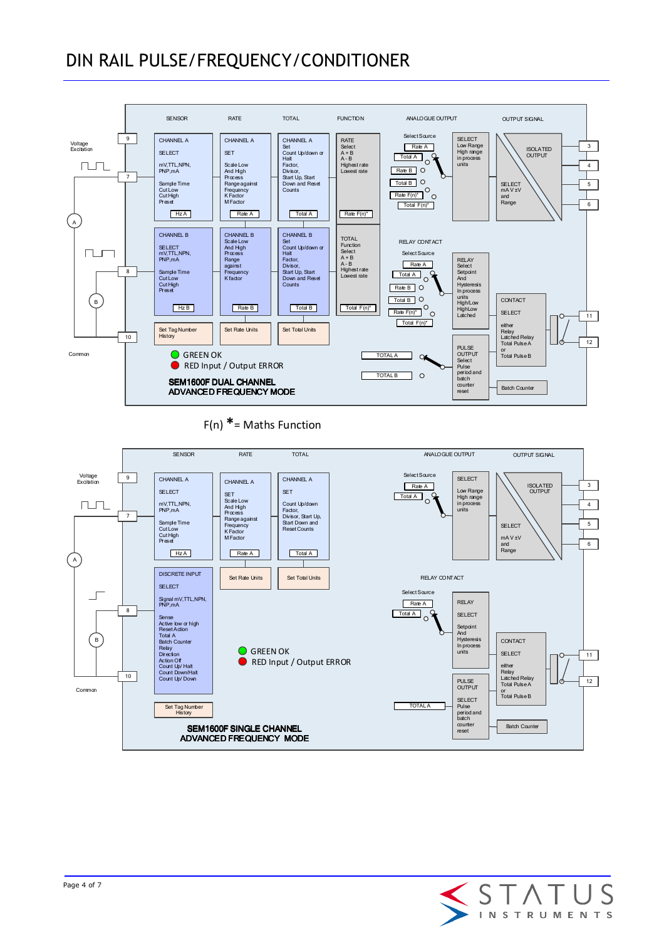

F(n) **\***= Maths Function



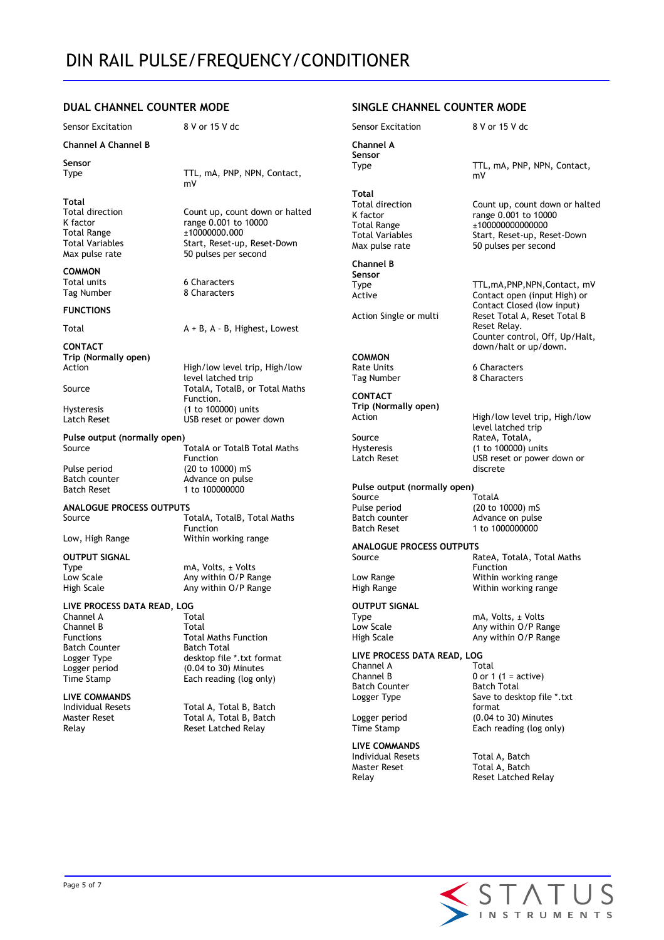### **DUAL CHANNEL COUNTER MODE**

Sensor Excitation 8 V or 15 V dc

**Channel A Channel B** 

**Sensor** 

**Total** 

**COMMON** 

**FUNCTIONS**

**CONTACT Trip (Normally open)** 

**Pulse output (normally open)** 

**OUTPUT SIGNAL** 

**LIVE PROCESS DATA READ, LOG** 

**Channel A** Total<br>
Channel B Total Channel B<br>Eunctions Batch Counter<br>
Logger Type<br>
desktop file

**LIVE COMMANDS** 

Type TTL, mA, PNP, NPN, Contact, mV Count up, count down or halted

K factor range 0.001 to 10000 Total Range ±10000000.000 Total Variables Start, Reset-up, Reset-Down<br>
Max pulse rate 50 pulses per second 50 pulses per second

Total units 6 Characters<br>Tag Number 8 Characters 8 Characters

TotalA + B, A – B, Highest, Lowest

High/low level trip, High/low level latched trip Source TotalA, TotalB, or Total Maths Function. Hysteresis (1 to 100000) units<br>
Latch Reset (USB reset or power USB reset or power down

TotalA or TotalB Total Maths Function Pulse period (20 to 10000) mS<br>Batch counter (20 to 10000) mS Batch counter Advance on pulse 1 to 100000000

**ANALOGUE PROCESS OUTPUTS** 

Source The Total Total Maths Source Total Maths Function Low, High Range Within working range

Type mA, Volts, ± Volts<br>
Low Scale Many within O/P Ra Any within O/P Range High Scale **Any within O/P Range** 

**Total Maths Function** Logger Type desktop file \*.txt format<br>
Logger period (0.04 to 30) Minutes  $(0.04 \text{ to } 30)$  Minutes Time Stamp Each reading (log only)

Individual Resets Total A, Total B, Batch Total A, Total B, Batch Relay Reset Latched Relay

### **SINGLE CHANNEL COUNTER MODE**

Sensor Excitation 8 V or 15 V dc **Channel A Sensor**  Type TTL, mA, PNP, NPN, Contact, mV **Total**  Count up, count down or halted K factor range 0.001 to 10000 Total Range  $\pm 100000000000000$ <br>Total Variables Start, Reset-up, Re Start, Reset-up, Reset-Down Max pulse rate 50 pulses per second **Channel B Sensor**  Type TTL,mA,PNP,NPN,Contact, mV<br>Active Contact open (input High) or Contact open (input High) or Contact Closed (low input) Action Single or multi Reset Total A, Reset Total B Reset Relay. Counter control, Off, Up/Halt, down/halt or up/down. **COMMON**  6 Characters Tag Number 8 Characters **CONTACT Trip (Normally open)**  High/low level trip, High/low level latched trip Source RateA, TotalA,<br>Hysteresis (1 to 100000) Hysteresis (1 to 100000) units<br>
Latch Reset (USB reset or power USB reset or power down or discrete **Pulse output (normally open)**  Source<br>Pulse period Pulse period (20 to 10000) mS<br>Batch counter (Advance on pulse Advance on pulse Batch Reset 1 to 1000000000 **ANALOGUE PROCESS OUTPUTS**  RateA, TotalA, Total Maths Function Low Range **Mithin working range**<br>High Range **Mithin working range** Within working range **OUTPUT SIGNAL**  Type mA, Volts, ± Volts<br>Low Scale Many within O/P Ra Low Scale **Any within O/P Range**<br>
High Scale **Any within O/P Range** Any within O/P Range **LIVE PROCESS DATA READ, LOG**  Channel A<br>Channel B  $0$  or 1 (1 = active)<br>Batch Total **Batch Counter** Logger Type Save to desktop file \*.txt format Logger period (0.04 to 30) Minutes Time Stamp Each reading (log only) **LIVE COMMANDS**  Individual Resets Total A, Batch Master Reset **Total A, Batch Total A, Batch**<br>Relav Reset Latched Reset Latched Relay

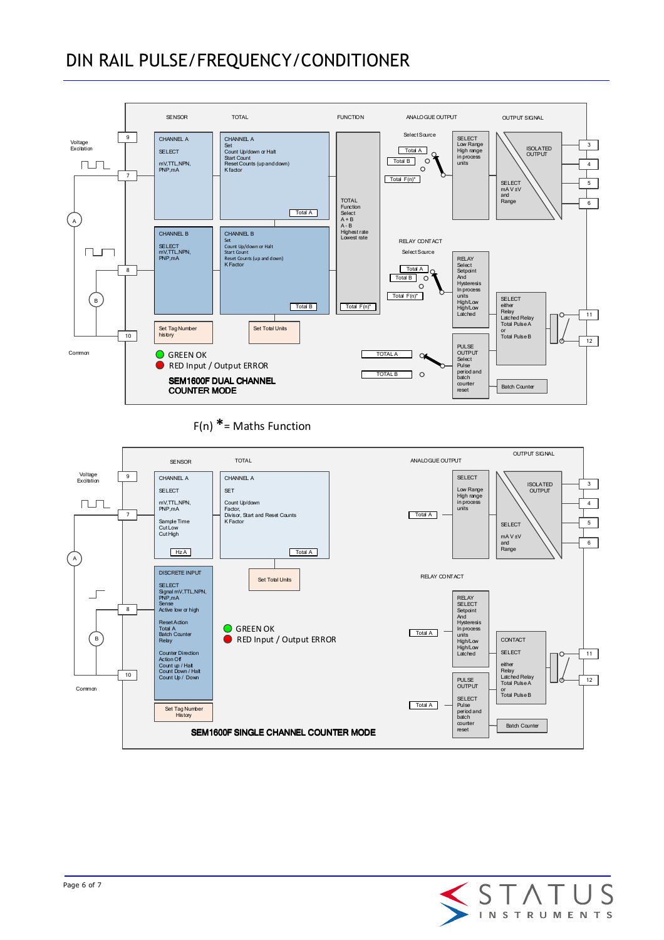

F(n) **\***= Maths Function